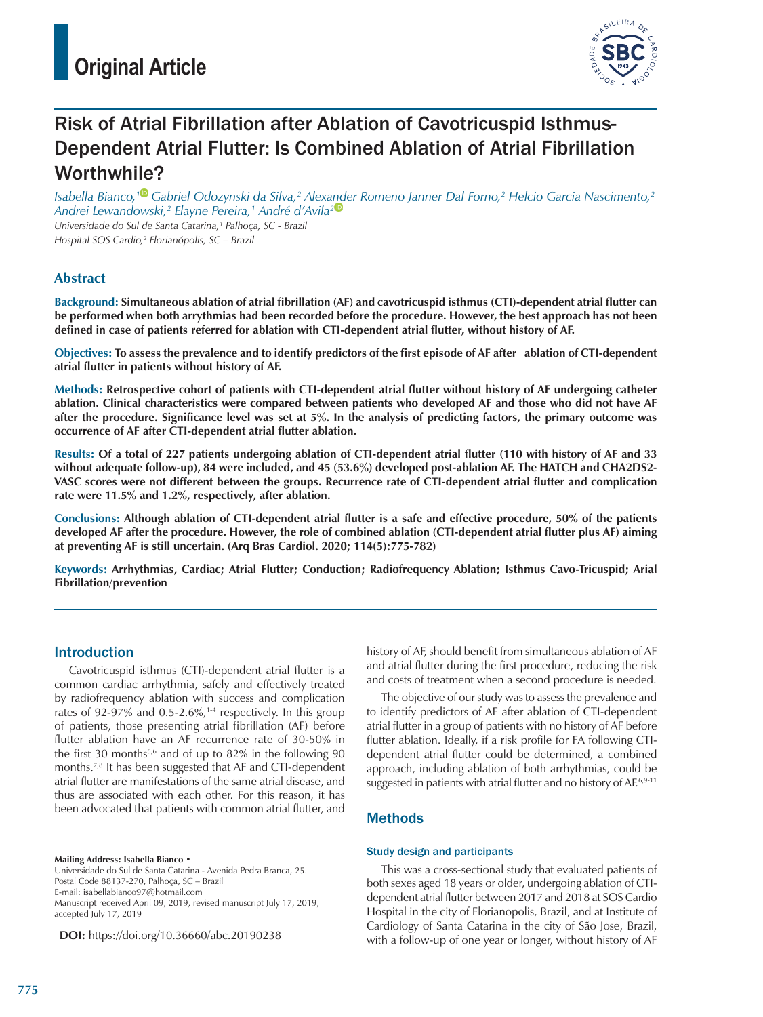

# Risk of Atrial Fibrillation after Ablation of Cavotricuspid Isthmus-Dependent Atrial Flutter: Is Combined Ablation of Atrial Fibrillation Worthwhile?

*Isabella Bianco,[1](https://orcid.org/0000-0003-4079-8427) Gabriel Odozynski da Silva,2 Alex[and](https://orcid.org/0000-0001-8769-1411)er Romeno Janner Dal Forno,2 Helcio Garcia Nascimento,2 Andrei Lewandowski,2 Elayne Pereira,1 André d'Avila2 Universidade do Sul de Santa Catarina,1 Palhoça, SC - Brazil Hospital SOS Cardio,2 Florianópolis, SC – Brazil*

**Abstract**

**Background: Simultaneous ablation of atrial fibrillation (AF) and cavotricuspid isthmus (CTI)-dependent atrial flutter can be performed when both arrythmias had been recorded before the procedure. However, the best approach has not been defined in case of patients referred for ablation with CTI-dependent atrial flutter, without history of AF.** 

**Objectives: To assess the prevalence and to identify predictors of the first episode of AF after ablation of CTI-dependent atrial flutter in patients without history of AF.** 

**Methods: Retrospective cohort of patients with CTI-dependent atrial flutter without history of AF undergoing catheter ablation. Clinical characteristics were compared between patients who developed AF and those who did not have AF after the procedure. Significance level was set at 5%. In the analysis of predicting factors, the primary outcome was occurrence of AF after CTI-dependent atrial flutter ablation.**

**Results: Of a total of 227 patients undergoing ablation of CTI-dependent atrial flutter (110 with history of AF and 33 without adequate follow-up), 84 were included, and 45 (53.6%) developed post-ablation AF. The HATCH and CHA2DS2- VASC scores were not different between the groups. Recurrence rate of CTI-dependent atrial flutter and complication rate were 11.5% and 1.2%, respectively, after ablation.** 

**Conclusions: Although ablation of CTI-dependent atrial flutter is a safe and effective procedure, 50% of the patients developed AF after the procedure. However, the role of combined ablation (CTI-dependent atrial flutter plus AF) aiming at preventing AF is still uncertain. (Arq Bras Cardiol. 2020; 114(5):775-782)**

**Keywords: Arrhythmias, Cardiac; Atrial Flutter; Conduction; Radiofrequency Ablation; Isthmus Cavo-Tricuspid; Arial Fibrillation/prevention** 

## Introduction

Cavotricuspid isthmus (CTI)-dependent atrial flutter is a common cardiac arrhythmia, safely and effectively treated by radiofrequency ablation with success and complication rates of 92-97% and 0.5-2.6%, $1-4$  respectively. In this group of patients, those presenting atrial fibrillation (AF) before flutter ablation have an AF recurrence rate of 30-50% in the first 30 months<sup>5,6</sup> and of up to 82% in the following 90 months.7,8 It has been suggested that AF and CTI-dependent atrial flutter are manifestations of the same atrial disease, and thus are associated with each other. For this reason, it has been advocated that patients with common atrial flutter, and

**Mailing Address: Isabella Bianco** • Universidade do Sul de Santa Catarina - Avenida Pedra Branca, 25. Postal Code 88137-270, Palhoça, SC – Brazil E-mail: isabellabianco97@hotmail.com Manuscript received April 09, 2019, revised manuscript July 17, 2019, accepted July 17, 2019

**DOI:** https://doi.org/10.36660/abc.20190238

history of AF, should benefit from simultaneous ablation of AF and atrial flutter during the first procedure, reducing the risk and costs of treatment when a second procedure is needed.

The objective of our study was to assess the prevalence and to identify predictors of AF after ablation of CTI-dependent atrial flutter in a group of patients with no history of AF before flutter ablation. Ideally, if a risk profile for FA following CTIdependent atrial flutter could be determined, a combined approach, including ablation of both arrhythmias, could be suggested in patients with atrial flutter and no history of AF.<sup>6,9-11</sup>

## **Methods**

## Study design and participants

This was a cross-sectional study that evaluated patients of both sexes aged 18 years or older, undergoing ablation of CTIdependent atrial flutter between 2017 and 2018 at SOS Cardio Hospital in the city of Florianopolis, Brazil, and at Institute of Cardiology of Santa Catarina in the city of São Jose, Brazil, with a follow-up of one year or longer, without history of AF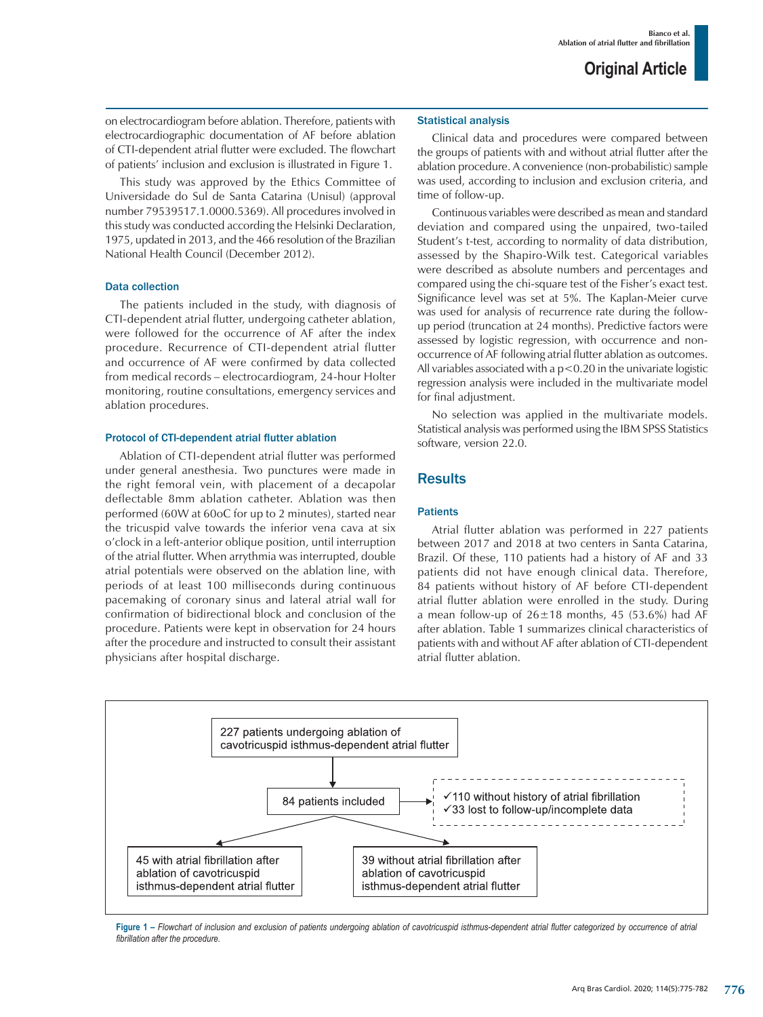on electrocardiogram before ablation. Therefore, patients with electrocardiographic documentation of AF before ablation of CTI-dependent atrial flutter were excluded. The flowchart of patients' inclusion and exclusion is illustrated in Figure 1.

This study was approved by the Ethics Committee of Universidade do Sul de Santa Catarina (Unisul) (approval number 79539517.1.0000.5369). All procedures involved in this study was conducted according the Helsinki Declaration, 1975, updated in 2013, and the 466 resolution of the Brazilian National Health Council (December 2012).

#### Data collection

The patients included in the study, with diagnosis of CTI-dependent atrial flutter, undergoing catheter ablation, were followed for the occurrence of AF after the index procedure. Recurrence of CTI-dependent atrial flutter and occurrence of AF were confirmed by data collected from medical records – electrocardiogram, 24-hour Holter monitoring, routine consultations, emergency services and ablation procedures.

#### Protocol of CTI-dependent atrial flutter ablation

Ablation of CTI-dependent atrial flutter was performed under general anesthesia. Two punctures were made in the right femoral vein, with placement of a decapolar deflectable 8mm ablation catheter. Ablation was then performed (60W at 60oC for up to 2 minutes), started near the tricuspid valve towards the inferior vena cava at six o'clock in a left-anterior oblique position, until interruption of the atrial flutter. When arrythmia was interrupted, double atrial potentials were observed on the ablation line, with periods of at least 100 milliseconds during continuous pacemaking of coronary sinus and lateral atrial wall for confirmation of bidirectional block and conclusion of the procedure. Patients were kept in observation for 24 hours after the procedure and instructed to consult their assistant physicians after hospital discharge.

#### Statistical analysis

Clinical data and procedures were compared between the groups of patients with and without atrial flutter after the ablation procedure. A convenience (non-probabilistic) sample was used, according to inclusion and exclusion criteria, and time of follow-up.

Continuous variables were described as mean and standard deviation and compared using the unpaired, two-tailed Student's t-test, according to normality of data distribution, assessed by the Shapiro-Wilk test. Categorical variables were described as absolute numbers and percentages and compared using the chi-square test of the Fisher's exact test. Significance level was set at 5%. The Kaplan-Meier curve was used for analysis of recurrence rate during the followup period (truncation at 24 months). Predictive factors were assessed by logistic regression, with occurrence and nonoccurrence of AF following atrial flutter ablation as outcomes. All variables associated with a  $p<0.20$  in the univariate logistic regression analysis were included in the multivariate model for final adjustment.

No selection was applied in the multivariate models. Statistical analysis was performed using the IBM SPSS Statistics software, version 22.0.

## **Results**

#### **Patients**

Atrial flutter ablation was performed in 227 patients between 2017 and 2018 at two centers in Santa Catarina, Brazil. Of these, 110 patients had a history of AF and 33 patients did not have enough clinical data. Therefore, 84 patients without history of AF before CTI-dependent atrial flutter ablation were enrolled in the study. During a mean follow-up of  $26\pm18$  months, 45 (53.6%) had AF after ablation. Table 1 summarizes clinical characteristics of patients with and without AF after ablation of CTI-dependent atrial flutter ablation.



**Figure 1 –** *Flowchart of inclusion and exclusion of patients undergoing ablation of cavotricuspid isthmus-dependent atrial flutter categorized by occurrence of atrial fibrillation after the procedure.*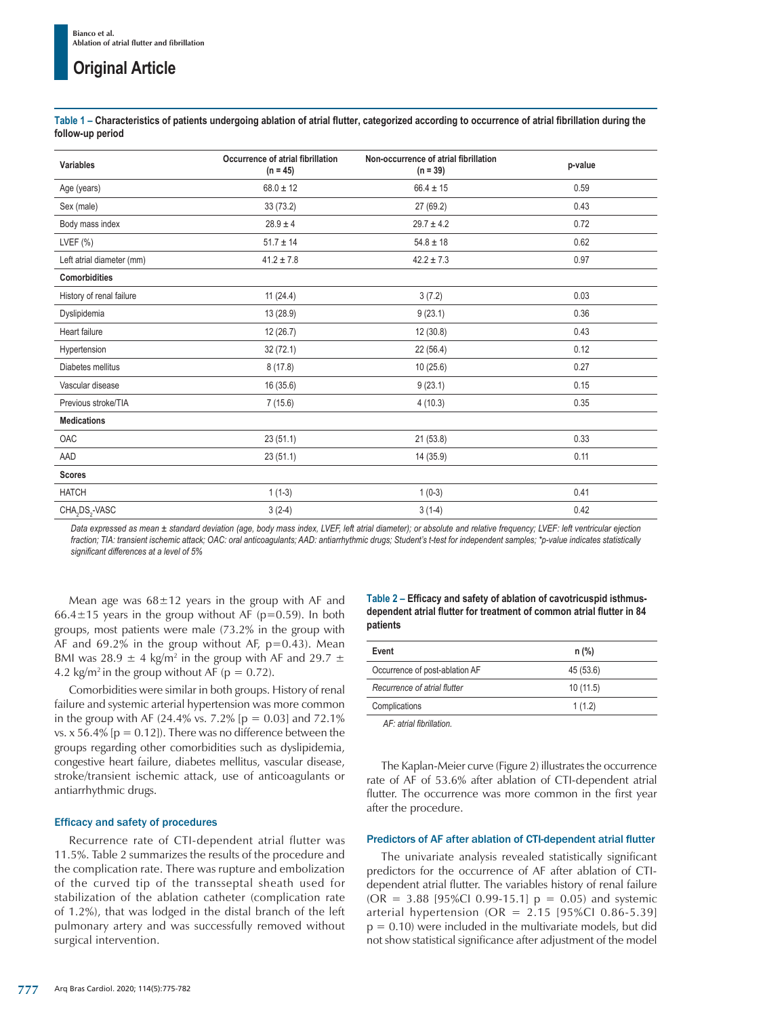## **Original Article**

**Table 1 – Characteristics of patients undergoing ablation of atrial flutter, categorized according to occurrence of atrial fibrillation during the follow-up period** 

| <b>Variables</b>                       | Occurrence of atrial fibrillation<br>$(n = 45)$ | Non-occurrence of atrial fibrillation<br>$(n = 39)$ | p-value |
|----------------------------------------|-------------------------------------------------|-----------------------------------------------------|---------|
| Age (years)                            | $68.0 \pm 12$                                   | $66.4 \pm 15$                                       | 0.59    |
| Sex (male)                             | 33 (73.2)                                       | 27 (69.2)                                           | 0.43    |
| Body mass index                        | $28.9 \pm 4$                                    | $29.7 \pm 4.2$                                      | 0.72    |
| LVEF $(\%)$                            | $51.7 \pm 14$                                   | $54.8 \pm 18$                                       | 0.62    |
| Left atrial diameter (mm)              | $41.2 \pm 7.8$                                  | $42.2 \pm 7.3$                                      | 0.97    |
| <b>Comorbidities</b>                   |                                                 |                                                     |         |
| History of renal failure               | 11(24.4)                                        | 3(7.2)                                              | 0.03    |
| Dyslipidemia                           | 13 (28.9)                                       | 9(23.1)                                             | 0.36    |
| Heart failure                          | 12 (26.7)                                       | 12(30.8)                                            | 0.43    |
| Hypertension                           | 32(72.1)                                        | 22 (56.4)                                           | 0.12    |
| Diabetes mellitus                      | 8(17.8)                                         | 10(25.6)                                            | 0.27    |
| Vascular disease                       | 16 (35.6)                                       | 9(23.1)                                             | 0.15    |
| Previous stroke/TIA                    | 7(15.6)                                         | 4(10.3)                                             | 0.35    |
| <b>Medications</b>                     |                                                 |                                                     |         |
| OAC                                    | 23(51.1)                                        | 21(53.8)                                            | 0.33    |
| AAD                                    | 23(51.1)                                        | 14 (35.9)                                           | 0.11    |
| <b>Scores</b>                          |                                                 |                                                     |         |
| <b>HATCH</b>                           | $1(1-3)$                                        | $1(0-3)$                                            | 0.41    |
| CHA <sub>2</sub> DS <sub>2</sub> -VASC | $3(2-4)$                                        | $3(1-4)$                                            | 0.42    |

*Data expressed as mean ± standard deviation (age, body mass index, LVEF, left atrial diameter); or absolute and relative frequency; LVEF: left ventricular ejection fraction; TIA: transient ischemic attack; OAC: oral anticoagulants; AAD: antiarrhythmic drugs; Student's t-test for independent samples; \*p-value indicates statistically significant differences at a level of 5%*

Mean age was  $68 \pm 12$  years in the group with AF and 66.4 $\pm$ 15 years in the group without AF (p=0.59). In both groups, most patients were male (73.2% in the group with AF and  $69.2\%$  in the group without AF,  $p=0.43$ ). Mean BMI was 28.9  $\pm$  4 kg/m<sup>2</sup> in the group with AF and 29.7  $\pm$ 4.2 kg/m<sup>2</sup> in the group without AF ( $p = 0.72$ ).

Comorbidities were similar in both groups. History of renal failure and systemic arterial hypertension was more common in the group with AF (24.4% vs. 7.2% [ $p = 0.03$ ] and 72.1% vs. x 56.4% [ $p = 0.12$ ]). There was no difference between the groups regarding other comorbidities such as dyslipidemia, congestive heart failure, diabetes mellitus, vascular disease, stroke/transient ischemic attack, use of anticoagulants or antiarrhythmic drugs.

#### Efficacy and safety of procedures

Recurrence rate of CTI-dependent atrial flutter was 11.5%. Table 2 summarizes the results of the procedure and the complication rate. There was rupture and embolization of the curved tip of the transseptal sheath used for stabilization of the ablation catheter (complication rate of 1.2%), that was lodged in the distal branch of the left pulmonary artery and was successfully removed without surgical intervention.

**Table 2 – Efficacy and safety of ablation of cavotricuspid isthmusdependent atrial flutter for treatment of common atrial flutter in 84 patients**

| Event                          | $n$ (%)   |  |
|--------------------------------|-----------|--|
| Occurrence of post-ablation AF | 45 (53.6) |  |
| Recurrence of atrial flutter   | 10(11.5)  |  |
| Complications                  | 1(1.2)    |  |
|                                |           |  |

*AF: atrial fibrillation.*

The Kaplan-Meier curve (Figure 2) illustrates the occurrence rate of AF of 53.6% after ablation of CTI-dependent atrial flutter. The occurrence was more common in the first year after the procedure.

#### Predictors of AF after ablation of CTI-dependent atrial flutter

The univariate analysis revealed statistically significant predictors for the occurrence of AF after ablation of CTIdependent atrial flutter. The variables history of renal failure  $(OR = 3.88 [95\% CI 0.99-15.1] p = 0.05)$  and systemic arterial hypertension (OR =  $2.15$  [95%Cl 0.86-5.39]  $p = 0.10$ ) were included in the multivariate models, but did not show statistical significance after adjustment of the model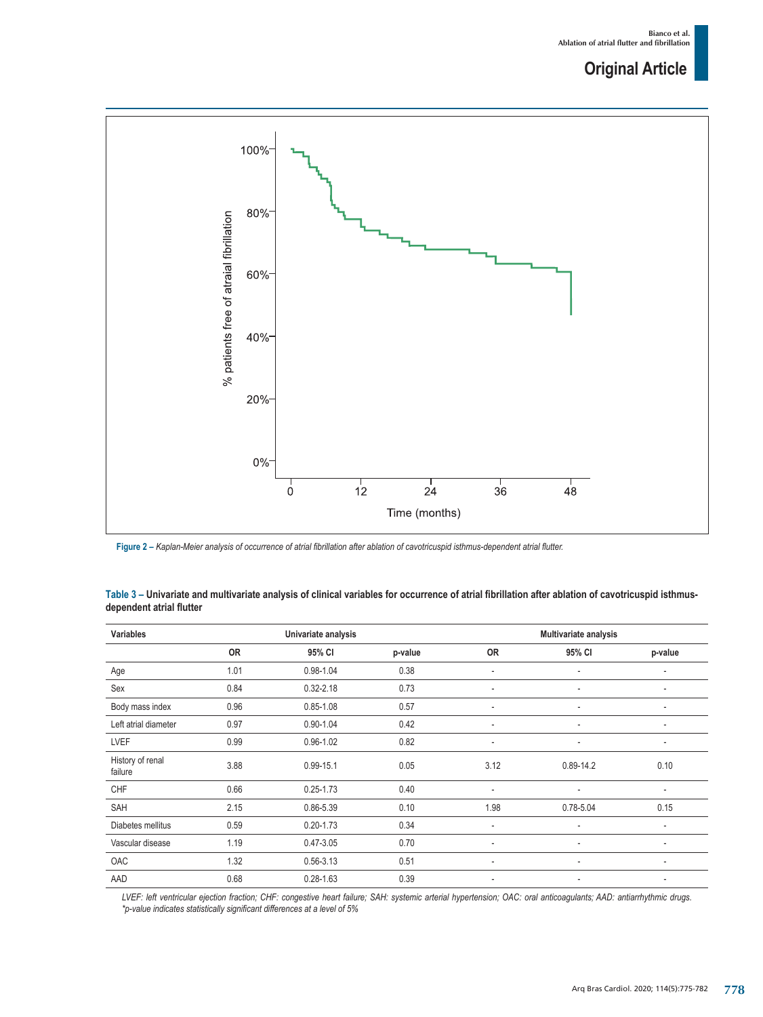## **Original Article**



**Figure 2 –** *Kaplan-Meier analysis of occurrence of atrial fibrillation after ablation of cavotricuspid isthmus-dependent atrial flutter.*

| <b>Variables</b>            | Univariate analysis |               |         | Multivariate analysis    |               |                          |
|-----------------------------|---------------------|---------------|---------|--------------------------|---------------|--------------------------|
|                             | <b>OR</b>           | 95% CI        | p-value | 0R                       | 95% CI        | p-value                  |
| Age                         | 1.01                | $0.98 - 1.04$ | 0.38    | $\overline{\phantom{a}}$ | ٠             | ٠                        |
| Sex                         | 0.84                | $0.32 - 2.18$ | 0.73    | ٠                        | ٠             | ٠                        |
| Body mass index             | 0.96                | $0.85 - 1.08$ | 0.57    | ٠                        | ٠             | ٠                        |
| Left atrial diameter        | 0.97                | $0.90 - 1.04$ | 0.42    | $\overline{\phantom{a}}$ |               | ٠                        |
| <b>LVEF</b>                 | 0.99                | $0.96 - 1.02$ | 0.82    | ٠                        | ٠             | ۰                        |
| History of renal<br>failure | 3.88                | $0.99 - 15.1$ | 0.05    | 3.12                     | $0.89 - 14.2$ | 0.10                     |
| <b>CHF</b>                  | 0.66                | $0.25 - 1.73$ | 0.40    | $\overline{\phantom{a}}$ | ٠             | $\overline{\phantom{a}}$ |
| SAH                         | 2.15                | 0.86-5.39     | 0.10    | 1.98                     | $0.78 - 5.04$ | 0.15                     |
| Diabetes mellitus           | 0.59                | $0.20 - 1.73$ | 0.34    | $\overline{\phantom{a}}$ | ٠             | ٠                        |
| Vascular disease            | 1.19                | $0.47 - 3.05$ | 0.70    | $\overline{\phantom{a}}$ | ٠             | ٠                        |
| OAC                         | 1.32                | $0.56 - 3.13$ | 0.51    | $\overline{\phantom{a}}$ | ٠             | ٠                        |
| AAD                         | 0.68                | $0.28 - 1.63$ | 0.39    | ٠                        | ٠             | $\overline{\phantom{a}}$ |

**Table 3 – Univariate and multivariate analysis of clinical variables for occurrence of atrial fibrillation after ablation of cavotricuspid isthmusdependent atrial flutter**

*LVEF: left ventricular ejection fraction; CHF: congestive heart failure; SAH: systemic arterial hypertension; OAC: oral anticoagulants; AAD: antiarrhythmic drugs. \*p-value indicates statistically significant differences at a level of 5%*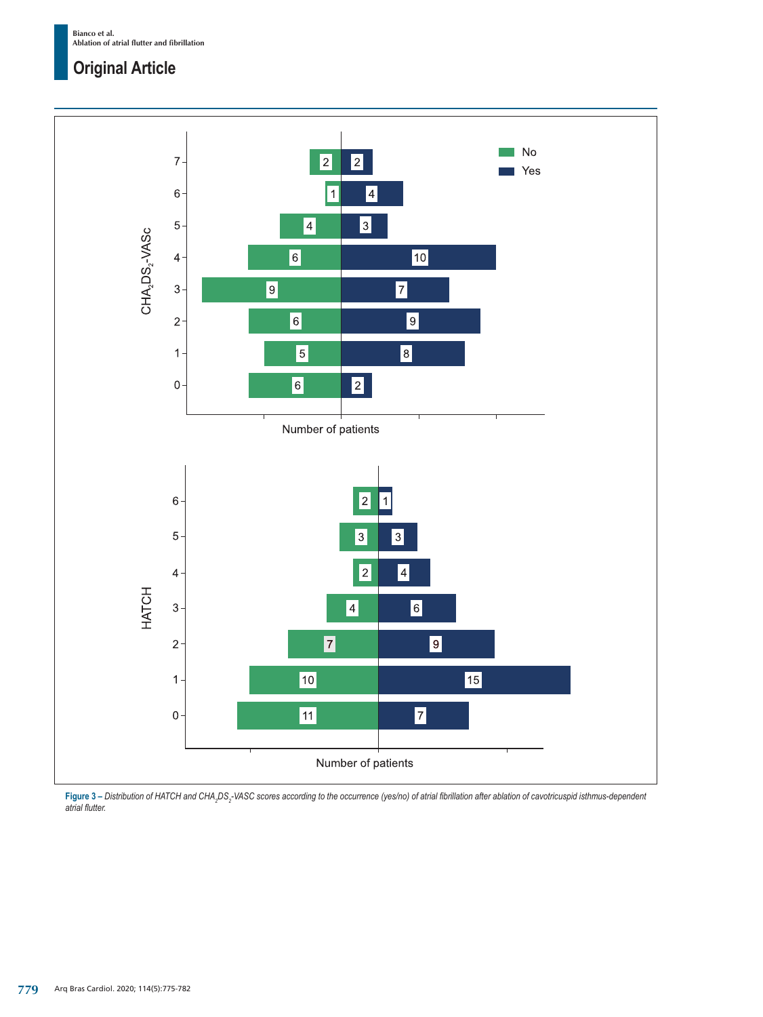**Bianco et al. Ablation of atrial flutter and fibrillation**

## **Original Article**



**Figure 3 –** *Distribution of HATCH and CHA<sup>2</sup> DS<sup>2</sup> -VASC scores according to the occurrence (yes/no) of atrial fibrillation after ablation of cavotricuspid isthmus-dependent atrial flutter.*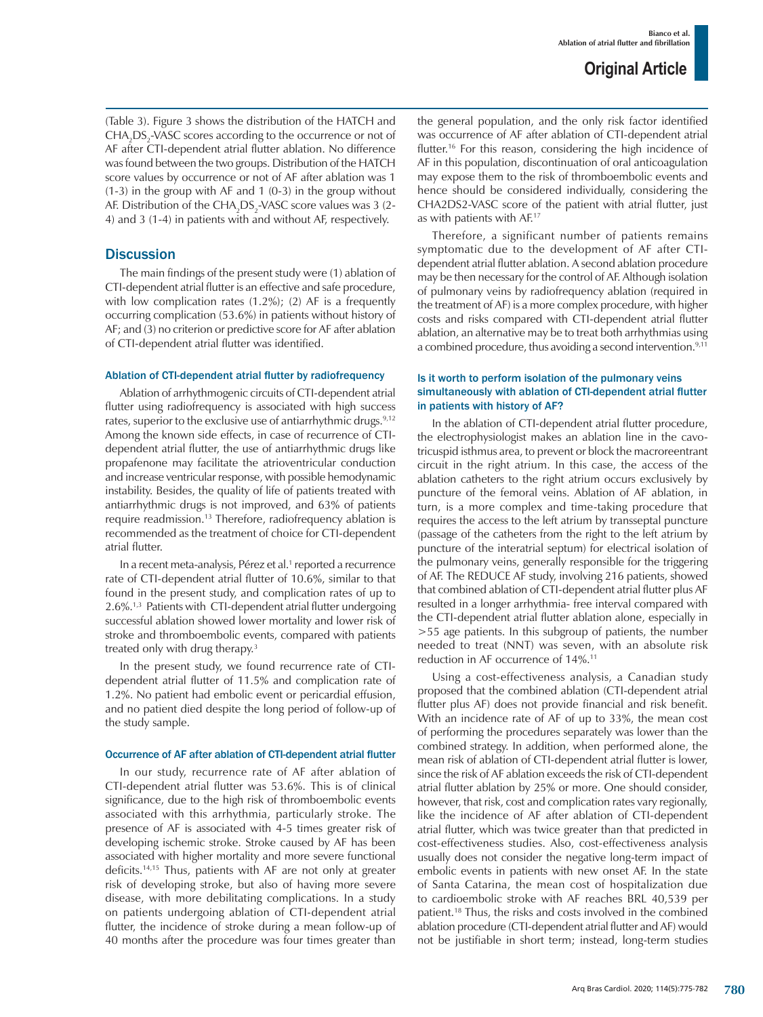(Table 3). Figure 3 shows the distribution of the HATCH and  $\mathrm{CHA}_{2}\mathrm{DS}_{2}$ -VASC scores according to the occurrence or not of AF after CTI-dependent atrial flutter ablation. No difference was found between the two groups. Distribution of the HATCH score values by occurrence or not of AF after ablation was 1 (1-3) in the group with AF and 1 (0-3) in the group without AF. Distribution of the  $\mathrm{CHA2DS_2\text{-}VASC}$  score values was 3 (2-4) and 3 (1-4) in patients with and without AF, respectively.

## **Discussion**

The main findings of the present study were (1) ablation of CTI-dependent atrial flutter is an effective and safe procedure, with low complication rates (1.2%); (2) AF is a frequently occurring complication (53.6%) in patients without history of AF; and (3) no criterion or predictive score for AF after ablation of CTI-dependent atrial flutter was identified.

#### Ablation of CTI-dependent atrial flutter by radiofrequency

Ablation of arrhythmogenic circuits of CTI-dependent atrial flutter using radiofrequency is associated with high success rates, superior to the exclusive use of antiarrhythmic drugs.<sup>9,12</sup> Among the known side effects, in case of recurrence of CTIdependent atrial flutter, the use of antiarrhythmic drugs like propafenone may facilitate the atrioventricular conduction and increase ventricular response, with possible hemodynamic instability. Besides, the quality of life of patients treated with antiarrhythmic drugs is not improved, and 63% of patients require readmission.13 Therefore, radiofrequency ablation is recommended as the treatment of choice for CTI-dependent atrial flutter.

In a recent meta-analysis, Pérez et al.<sup>1</sup> reported a recurrence rate of CTI-dependent atrial flutter of 10.6%, similar to that found in the present study, and complication rates of up to 2.6%.1,3 Patients with CTI-dependent atrial flutter undergoing successful ablation showed lower mortality and lower risk of stroke and thromboembolic events, compared with patients treated only with drug therapy.<sup>3</sup>

In the present study, we found recurrence rate of CTIdependent atrial flutter of 11.5% and complication rate of 1.2%. No patient had embolic event or pericardial effusion, and no patient died despite the long period of follow-up of the study sample.

## Occurrence of AF after ablation of CTI-dependent atrial flutter

In our study, recurrence rate of AF after ablation of CTI-dependent atrial flutter was 53.6%. This is of clinical significance, due to the high risk of thromboembolic events associated with this arrhythmia, particularly stroke. The presence of AF is associated with 4-5 times greater risk of developing ischemic stroke. Stroke caused by AF has been associated with higher mortality and more severe functional deficits.14,15 Thus, patients with AF are not only at greater risk of developing stroke, but also of having more severe disease, with more debilitating complications. In a study on patients undergoing ablation of CTI-dependent atrial flutter, the incidence of stroke during a mean follow-up of 40 months after the procedure was four times greater than the general population, and the only risk factor identified was occurrence of AF after ablation of CTI-dependent atrial flutter.16 For this reason, considering the high incidence of AF in this population, discontinuation of oral anticoagulation may expose them to the risk of thromboembolic events and hence should be considered individually, considering the CHA2DS2-VASC score of the patient with atrial flutter, just as with patients with AF.17

Therefore, a significant number of patients remains symptomatic due to the development of AF after CTIdependent atrial flutter ablation. A second ablation procedure may be then necessary for the control of AF. Although isolation of pulmonary veins by radiofrequency ablation (required in the treatment of AF) is a more complex procedure, with higher costs and risks compared with CTI-dependent atrial flutter ablation, an alternative may be to treat both arrhythmias using a combined procedure, thus avoiding a second intervention.<sup>9,11</sup>

## Is it worth to perform isolation of the pulmonary veins simultaneously with ablation of CTI-dependent atrial flutter in patients with history of AF?

In the ablation of CTI-dependent atrial flutter procedure, the electrophysiologist makes an ablation line in the cavotricuspid isthmus area, to prevent or block the macroreentrant circuit in the right atrium. In this case, the access of the ablation catheters to the right atrium occurs exclusively by puncture of the femoral veins. Ablation of AF ablation, in turn, is a more complex and time-taking procedure that requires the access to the left atrium by transseptal puncture (passage of the catheters from the right to the left atrium by puncture of the interatrial septum) for electrical isolation of the pulmonary veins, generally responsible for the triggering of AF. The REDUCE AF study, involving 216 patients, showed that combined ablation of CTI-dependent atrial flutter plus AF resulted in a longer arrhythmia- free interval compared with the CTI-dependent atrial flutter ablation alone, especially in >55 age patients. In this subgroup of patients, the number needed to treat (NNT) was seven, with an absolute risk reduction in AF occurrence of 14%.11

Using a cost-effectiveness analysis, a Canadian study proposed that the combined ablation (CTI-dependent atrial flutter plus AF) does not provide financial and risk benefit. With an incidence rate of AF of up to 33%, the mean cost of performing the procedures separately was lower than the combined strategy. In addition, when performed alone, the mean risk of ablation of CTI-dependent atrial flutter is lower, since the risk of AF ablation exceeds the risk of CTI-dependent atrial flutter ablation by 25% or more. One should consider, however, that risk, cost and complication rates vary regionally, like the incidence of AF after ablation of CTI-dependent atrial flutter, which was twice greater than that predicted in cost-effectiveness studies. Also, cost-effectiveness analysis usually does not consider the negative long-term impact of embolic events in patients with new onset AF. In the state of Santa Catarina, the mean cost of hospitalization due to cardioembolic stroke with AF reaches BRL 40,539 per patient.18 Thus, the risks and costs involved in the combined ablation procedure (CTI-dependent atrial flutter and AF) would not be justifiable in short term; instead, long-term studies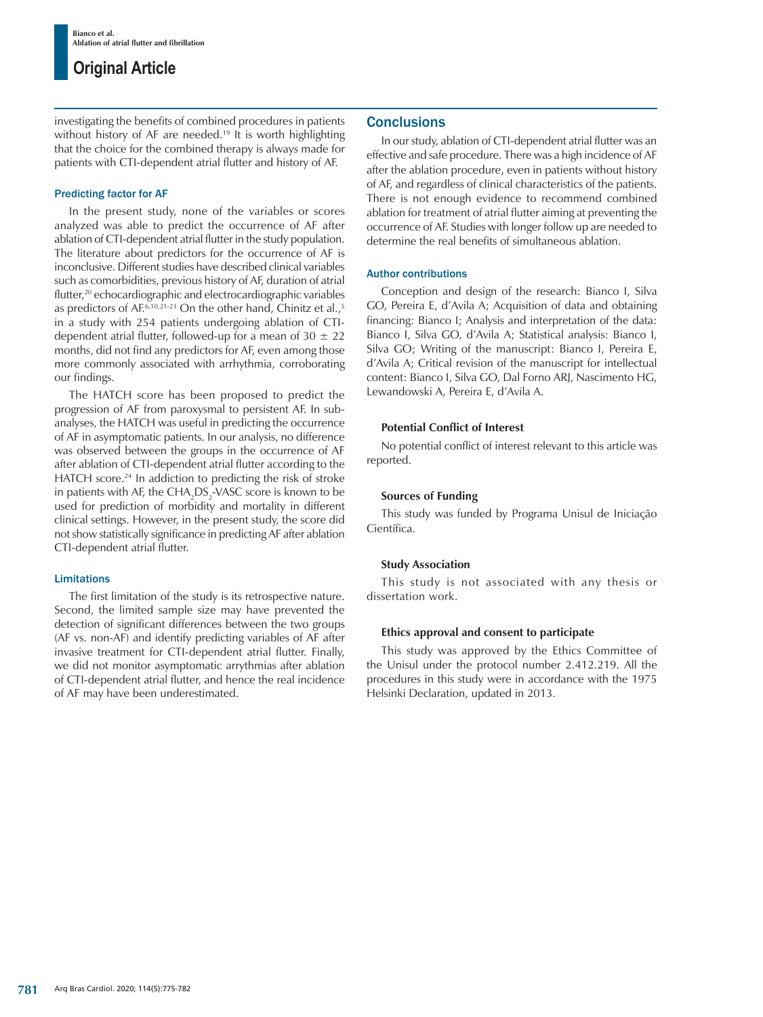## **Original Article**

investigating the benefits of combined procedures in patients without history of AF are needed.<sup>19</sup> It is worth highlighting that the choice for the combined therapy is always made for patients with CTI-dependent atrial flutter and history of AF.

### Predicting factor for AF

In the present study, none of the variables or scores analyzed was able to predict the occurrence of AF after ablation of CTI-dependent atrial flutter in the study population. The literature about predictors for the occurrence of AF is inconclusive. Different studies have described clinical variables such as comorbidities, previous history of AF, duration of atrial flutter,<sup>20</sup> echocardiographic and electrocardiographic variables as predictors of AE $6,10,21-23$  On the other hand, Chinitz et al.,<sup>5</sup> in a study with 254 patients undergoing ablation of CTIdependent atrial flutter, followed-up for a mean of  $30 \pm 22$ months, did not find any predictors for AF, even among those more commonly associated with arrhythmia, corroborating our findings.

The HATCH score has been proposed to predict the progression of AF from paroxysmal to persistent AF. In subanalyses, the HATCH was useful in predicting the occurrence of AF in asymptomatic patients. In our analysis, no difference was observed between the groups in the occurrence of AF after ablation of CTI-dependent atrial flutter according to the HATCH score.<sup>24</sup> In addiction to predicting the risk of stroke in patients with AF, the  $\mathrm{CHA}_{2}\mathrm{DS}_{2}$ -VASC score is known to be used for prediction of morbidity and mortality in different clinical settings. However, in the present study, the score did not show statistically significance in predicting AF after ablation CTI-dependent atrial flutter.

#### Limitations

The first limitation of the study is its retrospective nature. Second, the limited sample size may have prevented the detection of significant differences between the two groups (AF vs. non-AF) and identify predicting variables of AF after invasive treatment for CTI-dependent atrial flutter. Finally, we did not monitor asymptomatic arrythmias after ablation of CTI-dependent atrial flutter, and hence the real incidence of AF may have been underestimated.

## **Conclusions**

In our study, ablation of CTI-dependent atrial flutter was an effective and safe procedure. There was a high incidence of AF after the ablation procedure, even in patients without history of AF, and regardless of clinical characteristics of the patients. There is not enough evidence to recommend combined ablation for treatment of atrial flutter aiming at preventing the occurrence of AF. Studies with longer follow up are needed to determine the real benefits of simultaneous ablation.

#### Author contributions

Conception and design of the research: Bianco I, Silva GO, Pereira E, d'Avila A; Acquisition of data and obtaining financing: Bianco I; Analysis and interpretation of the data: Bianco I, Silva GO, d'Avila A; Statistical analysis: Bianco I, Silva GO; Writing of the manuscript: Bianco I, Pereira E, d'Avila A; Critical revision of the manuscript for intellectual content: Bianco I, Silva GO, Dal Forno ARJ, Nascimento HG, Lewandowski A, Pereira E, d'Avila A.

## **Potential Conflict of Interest**

No potential conflict of interest relevant to this article was reported.

#### **Sources of Funding**

This study was funded by Programa Unisul de Iniciação Científica.

## **Study Association**

This study is not associated with any thesis or dissertation work.

## **Ethics approval and consent to participate**

This study was approved by the Ethics Committee of the Unisul under the protocol number 2.412.219. All the procedures in this study were in accordance with the 1975 Helsinki Declaration, updated in 2013.